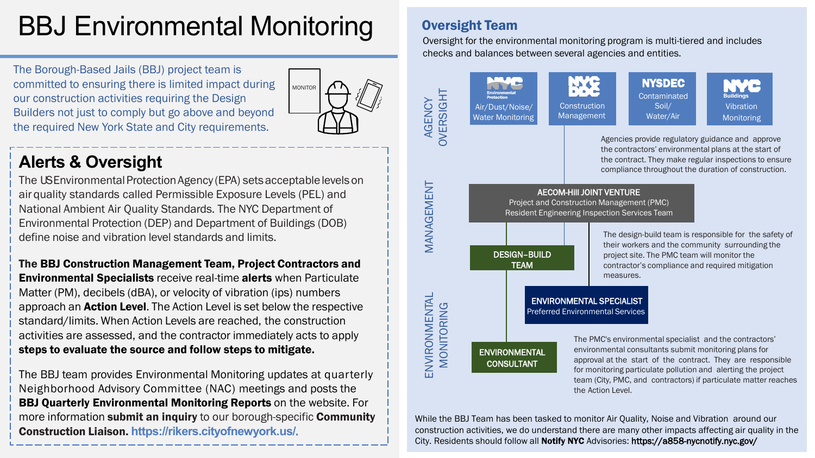### BBJ Environmental Monitoring Oversight Team

The Borough-Based Jails (BBJ) project team is committed to ensuring there is limited impact during our construction activities requiring the Design Builders not just to comply but go above and beyond the required New York State and City requirements.

# MONITOR

### **Alerts & Oversight**

The US Environmental Protection Agency (EPA) sets acceptable levels on air quality standards called Permissible Exposure Levels (PEL) and National Ambient Air Quality Standards. The NYC Department of Environmental Protection (DEP) and Department of Buildings (DOB) define noise and vibration level standards and limits.

The BBJ Construction Management Team, Project Contractors and Environmental Specialists receive real-time alerts when Particulate Matter (PM), decibels (dBA), or velocity of vibration (ips) numbers approach an **Action Level**. The Action Level is set below the respective standard/limits. When Action Levels are reached, the construction activities are assessed, and the contractor immediately acts to apply steps to evaluate the source and follow steps to mitigate.

The BBJ team provides Environmental Monitoring updates at quarterly Neighborhood Advisory Committee (NAC) meetings and posts the BBJ Quarterly Environmental Monitoring Reports on the website. For more information submit an inquiry to our borough-specific Community Construction Liaison. **https://rikers.cityofnewyork.us/**.

Oversight for the environmental monitoring program is multi-tiered and includes checks and balances between several agencies and entities.



While the BBJ Team has been tasked to monitor Air Quality, Noise and Vibration around our construction activities, we do understand there are many other impacts affecting air quality in the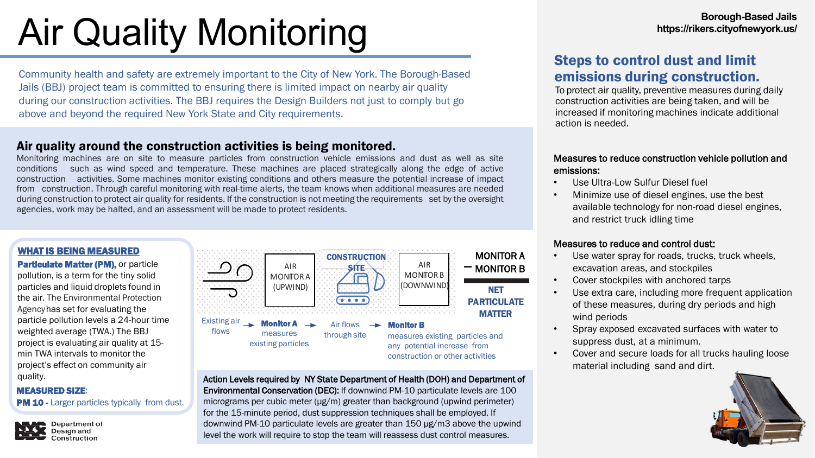# Air Quality Monitoring **Borough-Based Jails**

Community health and safety are extremely important to the City of New York. The Borough-Based Jails (BBJ) project team is committed to ensuring there is limited impact on nearby air quality during our construction activities. The BBJ requires the Design Builders not just to comply but go above and beyond the required New York State and City requirements.

#### Air quality around the construction activities is being monitored.

Monitoring machines are on site to measure particles from construction vehicle emissions and dust as well as site conditions such as wind speed and temperature. These machines are placed strategically along the edge of active construction activities. Some machines monitor existing conditions and others measure the potential increase of impact from construction. Through careful monitoring with real-time alerts, the team knows when additional measures are needed during construction to protect air quality for residents. If the construction is not meeting the requirements set by the oversight agencies, work may be halted, and an assessment will be made to protect residents.



**Particulate Matter (PM), or particle** pollution, is a term for the tiny solid particles and liquid droplets found in the air. The Environmental Protection Agencyhas set for evaluating the particle pollution levels a 24-hour time weighted average (TWA.) The BBJ project is evaluating air quality at 15 min TWA intervals to monitor the project's effect on community air quality.

#### MEASURED SIZE:

PM 10 - Larger particles typically from dust.

Department of



Action Levels required by NY State Department of Health (DOH) and Department of Environmental Conservation (DEC): If downwind PM-10 particulate levels are 100 micrograms per cubic meter (μg/m) greater than background (upwind perimeter) for the 15-minute period, dust suppression techniques shall be employed. If downwind PM-10 particulate levels are greater than 150 μg/m3 above the upwind level the work will require to stop the team will reassess dust control measures.

#### Steps to control dust and limit emissions during construction.

To protect air quality, preventive measures during daily construction activities are being taken, and will be increased if monitoring machines indicate additional action is needed.

#### Measures to reduce construction vehicle pollution and emissions:

- Use Ultra-Low Sulfur Diesel fuel
- Minimize use of diesel engines, use the best available technology for non-road diesel engines, and restrict truck idling time

#### Measures to reduce and control dust:

- Use water spray for roads, trucks, truck wheels, excavation areas, and stockpiles
- Cover stockpiles with anchored tarps
- Use extra care, including more frequent application of these measures, during dry periods and high wind periods
- Spray exposed excavated surfaces with water to suppress dust, at a minimum.
- Cover and secure loads for all trucks hauling loose material including sand and dirt.

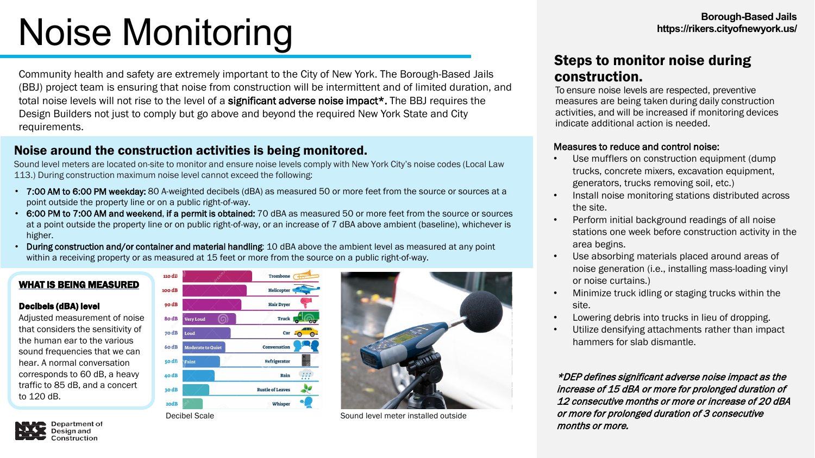# Borough-Based Jails<br>
Borough-Based Jails<br>
Monitoring **Borough-Based Jails**

Community health and safety are extremely important to the City of New York. The Borough-Based Jails (BBJ) project team is ensuring that noise from construction will be intermittent and of limited duration, and total noise levels will not rise to the level of a significant adverse noise impact\*. The BBJ requires the Design Builders not just to comply but go above and beyond the required New York State and City requirements.

#### Noise around the construction activities is being monitored.

Sound level meters are located on-site to monitor and ensure noise levels comply with New York City's noise codes (Local Law 113.) During construction maximum noise level cannot exceed the following:

- 7:00 AM to 6:00 PM weekday: 80 A-weighted decibels (dBA) as measured 50 or more feet from the source or sources at a point outside the property line or on a public right-of-way.
- 6:00 PM to 7:00 AM and weekend, if a permit is obtained: 70 dBA as measured 50 or more feet from the source or sources at a point outside the property line or on public right-of-way, or an increase of 7 dBA above ambient (baseline), whichever is higher.
- During construction and/or container and material handling: 10 dBA above the ambient level as measured at any point within a receiving property or as measured at 15 feet or more from the source on a public right-of-way.

#### WHAT IS BEING MEASURED

#### Decibels (dBA) level

Adjusted measurement of noise that considers the sensitivity of the human ear to the various sound frequencies that we can hear. A normal conversation corresponds to 60 dB, a heavy traffic to 85 dB, and a concert to 120 dB.





Decibel Scale Scale Scale Scale Scale Scale Scale Scale Scale Scale Scale Scale Scale Scale Scale Scale Scale S

#### Steps to monitor noise during construction.

To ensure noise levels are respected, preventive measures are being taken during daily construction activities, and will be increased if monitoring devices indicate additional action is needed.

#### Measures to reduce and control noise:

- Use mufflers on construction equipment (dump trucks, concrete mixers, excavation equipment, generators, trucks removing soil, etc.)
- Install noise monitoring stations distributed across the site.
- Perform initial background readings of all noise stations one week before construction activity in the area begins.
- Use absorbing materials placed around areas of noise generation (i.e., installing mass-loading vinyl or noise curtains.)
- Minimize truck idling or staging trucks within the site.
- Lowering debris into trucks in lieu of dropping.
- Utilize densifying attachments rather than impact hammers for slab dismantle.

\*DEP defines significant adverse noise impact as the increase of 15 dBA or more for prolonged duration of 12 consecutive months or more or increase of 20 dBA or more for prolonged duration of 3 consecutive months or more.